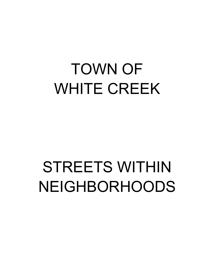# TOWN OF WHITE CREEK

# STREETS WITHIN NEIGHBORHOODS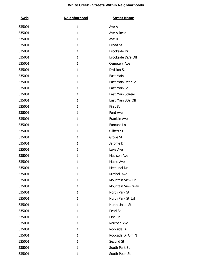| <b>Swis</b> | <b>Neighborhood</b> | <b>Street Name</b> |
|-------------|---------------------|--------------------|
| 535001      | $\mathbf{1}$        | Ave A              |
| 535001      | $\mathbf{1}$        | Ave A Rear         |
| 535001      | $\mathbf{1}$        | Ave B              |
| 535001      | $\mathbf{1}$        | <b>Broad St</b>    |
| 535001      | $\mathbf{1}$        | Brookside Dr       |
| 535001      | $\mathbf{1}$        | Brookside Dr/e Off |
| 535001      | $\mathbf{1}$        | Cemetery Ave       |
| 535001      | $\mathbf{1}$        | Division St        |
| 535001      | $\mathbf{1}$        | East Main          |
| 535001      | $\mathbf{1}$        | East Main Rear St  |
| 535001      | $\mathbf{1}$        | East Main St       |
| 535001      | $\mathbf{1}$        | East Main St/rear  |
| 535001      | $\mathbf{1}$        | East Main St/s Off |
| 535001      | $\mathbf{1}$        | First St           |
| 535001      | $\mathbf{1}$        | Ford Ave           |
| 535001      | $\mathbf{1}$        | Franklin Ave       |
| 535001      | $\mathbf{1}$        | Furnace Ln         |
| 535001      | $\mathbf{1}$        | Gilbert St         |
| 535001      | $\mathbf{1}$        | Grove St           |
| 535001      | $\mathbf{1}$        | Jerome Dr          |
| 535001      | $\mathbf{1}$        | Lake Ave           |
| 535001      | $\mathbf{1}$        | Madison Ave        |
| 535001      | $\mathbf{1}$        | Maple Ave          |
| 535001      | $\mathbf{1}$        | Memorial Dr        |
| 535001      | 1                   | Mitchell Ave       |
| 535001      | 1                   | Mountain View Dr   |
| 535001      | $\mathbf{1}$        | Mountain View Way  |
| 535001      | 1                   | North Park St      |
| 535001      | 1                   | North Park St Ext  |
| 535001      | 1                   | North Union St     |
| 535001      | 1                   | Pearl St           |
| 535001      | 1                   | Pine Ln            |
| 535001      | 1                   | Railroad Ave       |
| 535001      | 1                   | Rockside Dr        |
| 535001      | 1                   | Rockside Dr Off N  |
| 535001      | 1                   | Second St          |
| 535001      | $\mathbf{1}$        | South Park St      |
| 535001      | $\mathbf{1}$        | South Pearl St     |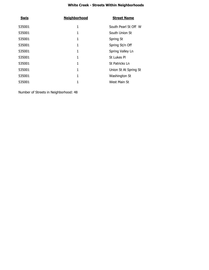| <b>Swis</b> | <b>Neighborhood</b> | <b>Street Name</b>    |
|-------------|---------------------|-----------------------|
| 535001      | 1                   | South Pearl St Off W  |
| 535001      | 1                   | South Union St        |
| 535001      | 1                   | Spring St             |
| 535001      | 1                   | Spring St/n Off       |
| 535001      | 1                   | Spring Valley Ln      |
| 535001      |                     | St Lukes Pl           |
| 535001      | 1                   | St Patricks Ln        |
| 535001      | 1                   | Union St At Spring St |
| 535001      | 1                   | Washington St         |
| 535001      |                     | West Main St          |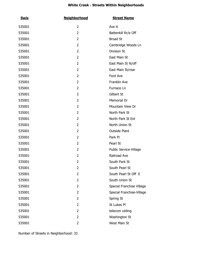| <u>Swis</u> | <b>Neighborhood</b> | <b>Street Name</b>        |
|-------------|---------------------|---------------------------|
| 535001      | 2                   | Ave A                     |
| 535001      | 2                   | Battenkill Rr/e Off       |
| 535001      | 2                   | <b>Broad St</b>           |
| 535001      | 2                   | Cambridge Woods Ln        |
| 535001      | 2                   | Division St               |
| 535001      | 2                   | East Main St              |
| 535001      | 2                   | East Main St N/off        |
| 535001      | 2                   | East Main St/rear         |
| 535001      | 2                   | Ford Ave                  |
| 535001      | 2                   | Franklin Ave              |
| 535001      | 2                   | Furnace Ln                |
| 535001      | 2                   | Gilbert St                |
| 535001      | 2                   | Memorial Dr               |
| 535001      | 2                   | Mountain View Dr          |
| 535001      | 2                   | North Park St             |
| 535001      | 2                   | North Park St Ext         |
| 535001      | 2                   | North Union St            |
| 535001      | 2                   | <b>Outside Plant</b>      |
| 535001      | 2                   | Park PI                   |
| 535001      | 2                   | Pearl St                  |
| 535001      | 2                   | Public Service-Village    |
| 535001      | 2                   | Railroad Ave              |
| 535001      | 2                   | South Park St             |
| 535001      | $\overline{2}$      | South Pearl St            |
| 535001      | 2                   | South Pearl St Off E      |
| 535001      | 2                   | South Union St            |
| 535001      | 2                   | Special Franchise Village |
| 535001      | 2                   | Special Franchise-Village |
| 535001      | 2                   | Spring St                 |
| 535001      | 2                   | St Lukes Pl               |
| 535001      | 2                   | telecom ceiling           |
| 535001      | 2                   | Washington St             |
| 535001      | 2                   | West Main St              |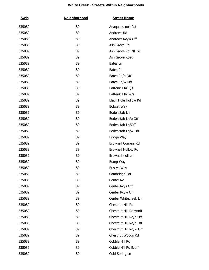| <u>Swis</u> | <b>Neighborhood</b> | <b>Street Name</b>          |
|-------------|---------------------|-----------------------------|
| 535089      | 89                  | Anaquasscook Pat            |
| 535089      | 89                  | Andrews Rd                  |
| 535089      | 89                  | Andrews Rd/w Off            |
| 535089      | 89                  | Ash Grove Rd                |
| 535089      | 89                  | Ash Grove Rd Off W          |
| 535089      | 89                  | Ash Grove Road              |
| 535089      | 89                  | Bates Ln                    |
| 535089      | 89                  | <b>Bates Rd</b>             |
| 535089      | 89                  | Bates Rd/e Off              |
| 535089      | 89                  | Bates Rd/w Off              |
| 535089      | 89                  | Battenkill Rr E/s           |
| 535089      | 89                  | Battenkill Rr W/s           |
| 535089      | 89                  | <b>Black Hole Hollow Rd</b> |
| 535089      | 89                  | Bobcat Way                  |
| 535089      | 89                  | Bodenstab Ln                |
| 535089      | 89                  | Bodenstab Ln/e Off          |
| 535089      | 89                  | Bodenstab Ln/Off            |
| 535089      | 89                  | Bodenstab Ln/w Off          |
| 535089      | 89                  | <b>Bridge Way</b>           |
| 535089      | 89                  | <b>Brownell Corners Rd</b>  |
| 535089      | 89                  | <b>Brownell Hollow Rd</b>   |
| 535089      | 89                  | Browns Knoll Ln             |
| 535089      | 89                  | Bump Way                    |
| 535089      | 89                  | Bussys Way                  |
| 535089      | 89                  | Cambridge Pat               |
| 535089      | 89                  | Center Rd                   |
| 535089      | 89                  | Center Rd/s Off             |
| 535089      | 89                  | Center Rd/w Off             |
| 535089      | 89                  | Center Whitecreek Ln        |
| 535089      | 89                  | Chestnut Hill Rd            |
| 535089      | 89                  | Chestnut Hill Rd w/off      |
| 535089      | 89                  | Chestnut Hill Rd/e Off      |
| 535089      | 89                  | Chestnut Hill Rd/n Off      |
| 535089      | 89                  | Chestnut Hill Rd/w Off      |
| 535089      | 89                  | Chestnut Woods Rd           |
| 535089      | 89                  | Cobble Hill Rd              |
| 535089      | 89                  | Cobble Hill Rd E/off        |
| 535089      | 89                  | Cold Spring Ln              |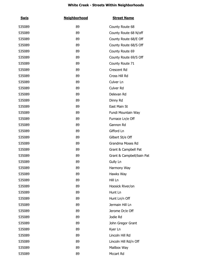| <b>Swis</b> | <b>Neighborhood</b> | <b>Street Name</b>        |
|-------------|---------------------|---------------------------|
| 535089      | 89                  | County Route 68           |
| 535089      | 89                  | County Route 68 N/off     |
| 535089      | 89                  | County Route 68/E Off     |
| 535089      | 89                  | County Route 68/S Off     |
| 535089      | 89                  | County Route 69           |
| 535089      | 89                  | County Route 69/S Off     |
| 535089      | 89                  | County Route 71           |
| 535089      | 89                  | Crescent Rd               |
| 535089      | 89                  | Cross Hill Rd             |
| 535089      | 89                  | Culver Ln                 |
| 535089      | 89                  | Culver Rd                 |
| 535089      | 89                  | Delevan Rd                |
| 535089      | 89                  | Dinny Rd                  |
| 535089      | 89                  | East Main St              |
| 535089      | 89                  | Fundi Mountain Way        |
| 535089      | 89                  | Furnace Ln/e Off          |
| 535089      | 89                  | Gannon Rd                 |
| 535089      | 89                  | Gifford Ln                |
| 535089      | 89                  | Gilbert St/e Off          |
| 535089      | 89                  | Grandma Moses Rd          |
| 535089      | 89                  | Grant & Campbell Pat      |
| 535089      | 89                  | Grant & Campbell/bain Pat |
| 535089      | 89                  | Gully Ln                  |
| 535089      | 89                  | Harmony Way               |
| 535089      | 89                  | Hawks Way                 |
| 535089      | 89                  | Hill Ln                   |
| 535089      | 89                  | Hoosick River/on          |
| 535089      | 89                  | Hunt Ln                   |
| 535089      | 89                  | Hunt Ln/n Off             |
| 535089      | 89                  | Jermain Hill Ln           |
| 535089      | 89                  | Jerome Dr/e Off           |
| 535089      | 89                  | Jodie Rd                  |
| 535089      | 89                  | John Gregor Grant         |
| 535089      | 89                  | Kyer Ln                   |
| 535089      | 89                  | Lincoln Hill Rd           |
| 535089      | 89                  | Lincoln Hill Rd/n Off     |
| 535089      | 89                  | Mailbox Way               |
| 535089      | 89                  | Mccart Rd                 |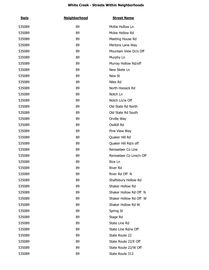| <u>Swis</u> | <b>Neighborhood</b> | <b>Street Name</b>       |
|-------------|---------------------|--------------------------|
| 535089      | 89                  | McKie Hollow Ln          |
| 535089      | 89                  | Mckie Hollow Rd          |
| 535089      | 89                  | Meeting House Rd         |
| 535089      | 89                  | Mertons Lane Way         |
| 535089      | 89                  | Mountain View Dr/s Off   |
| 535089      | 89                  | Murphy Ln                |
| 535089      | 89                  | Murray Hollow Rd/off     |
| 535089      | 89                  | New Skete Ln             |
| 535089      | 89                  | New St                   |
| 535089      | 89                  | Niles Rd                 |
| 535089      | 89                  | North Hoosick Rd         |
| 535089      | 89                  | Notch Ln                 |
| 535089      | 89                  | Notch Ln/w Off           |
| 535089      | 89                  | Old State Rd North       |
| 535089      | 89                  | Old State Rd South       |
| 535089      | 89                  | Orville Way              |
| 535089      | 89                  | Owlkill Rd               |
| 535089      | 89                  | Pine View Way            |
| 535089      | 89                  | Quaker Hill Rd           |
| 535089      | 89                  | Quaker Hill Rd/s off     |
| 535089      | 89                  | Rensselaer Co Line       |
| 535089      | 89                  | Rensselaer Co Line/n Off |
| 535089      | 89                  | Rice Ln                  |
| 535089      | 89                  | River Rd                 |
| 535089      | 89                  | River Rd Off N           |
| 535089      | 89                  | Shaftsbury Hollow Rd     |
| 535089      | 89                  | Shaker Hollow Rd         |
| 535089      | 89                  | Shaker Hollow Rd Off N   |
| 535089      | 89                  | Shaker Hollow Rd Off W   |
| 535089      | 89                  | Shaker Hollow Rd W       |
| 535089      | 89                  | Spring St                |
| 535089      | 89                  | Stage Rd                 |
| 535089      | 89                  | State Line Rd            |
| 535089      | 89                  | State Line Rd/w Off      |
| 535089      | 89                  | State Route 22           |
| 535089      | 89                  | State Route 22/E Off     |
| 535089      | 89                  | State Route 22/W Off     |
| 535089      | 89                  | State Route 313          |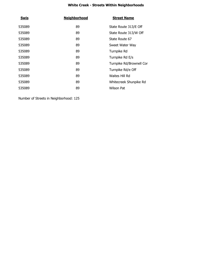| <b>Swis</b> | <b>Neighborhood</b> | <b>Street Name</b>       |
|-------------|---------------------|--------------------------|
| 535089      | 89                  | State Route 313/E Off    |
| 535089      | 89                  | State Route 313/W Off    |
| 535089      | 89                  | State Route 67           |
| 535089      | 89                  | Sweet Water Way          |
| 535089      | 89                  | Turnpike Rd              |
| 535089      | 89                  | Turnpike Rd E/s          |
| 535089      | 89                  | Turnpike Rd/Brownell Cor |
| 535089      | 89                  | Turnpike Rd/e Off        |
| 535089      | 89                  | Waites Hill Rd           |
| 535089      | 89                  | Whitecreek Shunpike Rd   |
| 535089      | 89                  | Wilson Pat               |